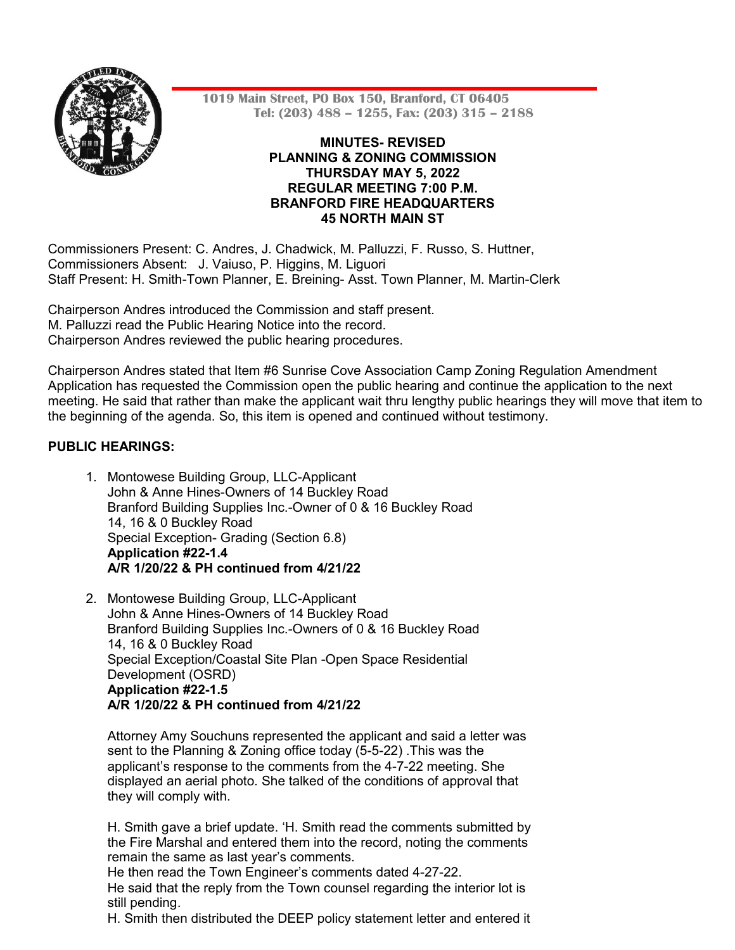

**1019 Main Street, PO Box 150, Branford, CT 06405 Tel: (203) 488 – 1255, Fax: (203) 315 – 2188**

## **MINUTES- REVISED PLANNING & ZONING COMMISSION THURSDAY MAY 5, 2022 REGULAR MEETING 7:00 P.M. BRANFORD FIRE HEADQUARTERS 45 NORTH MAIN ST**

Commissioners Present: C. Andres, J. Chadwick, M. Palluzzi, F. Russo, S. Huttner, Commissioners Absent: J. Vaiuso, P. Higgins, M. Liguori Staff Present: H. Smith-Town Planner, E. Breining- Asst. Town Planner, M. Martin-Clerk

Chairperson Andres introduced the Commission and staff present. M. Palluzzi read the Public Hearing Notice into the record. Chairperson Andres reviewed the public hearing procedures.

Chairperson Andres stated that Item #6 Sunrise Cove Association Camp Zoning Regulation Amendment Application has requested the Commission open the public hearing and continue the application to the next meeting. He said that rather than make the applicant wait thru lengthy public hearings they will move that item to the beginning of the agenda. So, this item is opened and continued without testimony.

# **PUBLIC HEARINGS:**

- 1. Montowese Building Group, LLC-Applicant John & Anne Hines-Owners of 14 Buckley Road Branford Building Supplies Inc.-Owner of 0 & 16 Buckley Road 14, 16 & 0 Buckley Road Special Exception- Grading (Section 6.8) **Application #22-1.4 A/R 1/20/22 & PH continued from 4/21/22**
- 2. Montowese Building Group, LLC-Applicant John & Anne Hines-Owners of 14 Buckley Road Branford Building Supplies Inc.-Owners of 0 & 16 Buckley Road 14, 16 & 0 Buckley Road Special Exception/Coastal Site Plan -Open Space Residential Development (OSRD) **Application #22-1.5 A/R 1/20/22 & PH continued from 4/21/22**

Attorney Amy Souchuns represented the applicant and said a letter was sent to the Planning & Zoning office today (5-5-22) .This was the applicant's response to the comments from the 4-7-22 meeting. She displayed an aerial photo. She talked of the conditions of approval that they will comply with.

H. Smith gave a brief update. 'H. Smith read the comments submitted by the Fire Marshal and entered them into the record, noting the comments remain the same as last year's comments.

He then read the Town Engineer's comments dated 4-27-22. He said that the reply from the Town counsel regarding the interior lot is still pending.

H. Smith then distributed the DEEP policy statement letter and entered it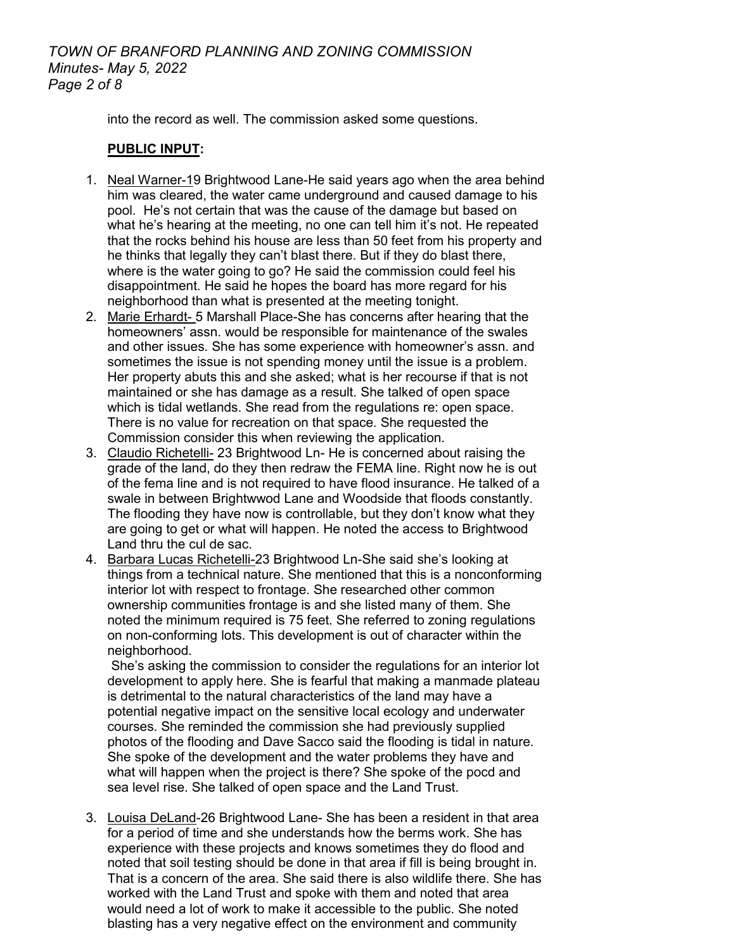# *TOWN OF BRANFORD PLANNING AND ZONING COMMISSION Minutes- May 5, 2022 Page 2 of 8*

into the record as well. The commission asked some questions.

## **PUBLIC INPUT:**

- 1. Neal Warner-19 Brightwood Lane-He said years ago when the area behind him was cleared, the water came underground and caused damage to his pool. He's not certain that was the cause of the damage but based on what he's hearing at the meeting, no one can tell him it's not. He repeated that the rocks behind his house are less than 50 feet from his property and he thinks that legally they can't blast there. But if they do blast there, where is the water going to go? He said the commission could feel his disappointment. He said he hopes the board has more regard for his neighborhood than what is presented at the meeting tonight.
- 2. Marie Erhardt- 5 Marshall Place-She has concerns after hearing that the homeowners' assn. would be responsible for maintenance of the swales and other issues. She has some experience with homeowner's assn. and sometimes the issue is not spending money until the issue is a problem. Her property abuts this and she asked; what is her recourse if that is not maintained or she has damage as a result. She talked of open space which is tidal wetlands. She read from the regulations re: open space. There is no value for recreation on that space. She requested the Commission consider this when reviewing the application.
- 3. Claudio Richetelli- 23 Brightwood Ln- He is concerned about raising the grade of the land, do they then redraw the FEMA line. Right now he is out of the fema line and is not required to have flood insurance. He talked of a swale in between Brightwwod Lane and Woodside that floods constantly. The flooding they have now is controllable, but they don't know what they are going to get or what will happen. He noted the access to Brightwood Land thru the cul de sac.
- 4. Barbara Lucas Richetelli-23 Brightwood Ln-She said she's looking at things from a technical nature. She mentioned that this is a nonconforming interior lot with respect to frontage. She researched other common ownership communities frontage is and she listed many of them. She noted the minimum required is 75 feet. She referred to zoning regulations on non-conforming lots. This development is out of character within the neighborhood.

She's asking the commission to consider the regulations for an interior lot development to apply here. She is fearful that making a manmade plateau is detrimental to the natural characteristics of the land may have a potential negative impact on the sensitive local ecology and underwater courses. She reminded the commission she had previously supplied photos of the flooding and Dave Sacco said the flooding is tidal in nature. She spoke of the development and the water problems they have and what will happen when the project is there? She spoke of the pocd and sea level rise. She talked of open space and the Land Trust.

3. Louisa DeLand-26 Brightwood Lane- She has been a resident in that area for a period of time and she understands how the berms work. She has experience with these projects and knows sometimes they do flood and noted that soil testing should be done in that area if fill is being brought in. That is a concern of the area. She said there is also wildlife there. She has worked with the Land Trust and spoke with them and noted that area would need a lot of work to make it accessible to the public. She noted blasting has a very negative effect on the environment and community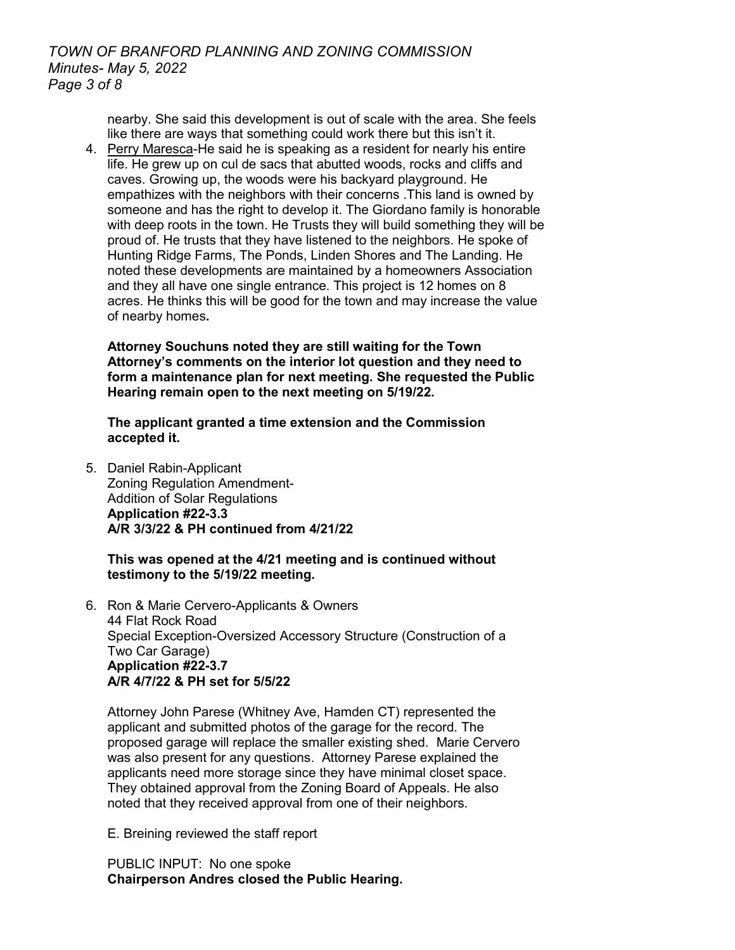nearby. She said this development is out of scale with the area. She feels like there are ways that something could work there but this isn't it.

4. Perry Maresca-He said he is speaking as a resident for nearly his entire life. He grew up on cul de sacs that abutted woods, rocks and cliffs and caves. Growing up, the woods were his backyard playground. He empathizes with the neighbors with their concerns .This land is owned by someone and has the right to develop it. The Giordano family is honorable with deep roots in the town. He Trusts they will build something they will be proud of. He trusts that they have listened to the neighbors. He spoke of Hunting Ridge Farms, The Ponds, Linden Shores and The Landing. He noted these developments are maintained by a homeowners Association and they all have one single entrance. This project is 12 homes on 8 acres. He thinks this will be good for the town and may increase the value of nearby homes**.**

**Attorney Souchuns noted they are still waiting for the Town Attorney's comments on the interior lot question and they need to form a maintenance plan for next meeting. She requested the Public Hearing remain open to the next meeting on 5/19/22.**

**The applicant granted a time extension and the Commission accepted it.** 

5. Daniel Rabin-Applicant Zoning Regulation Amendment-Addition of Solar Regulations **Application #22-3.3 A/R 3/3/22 & PH continued from 4/21/22**

### **This was opened at the 4/21 meeting and is continued without testimony to the 5/19/22 meeting.**

6. Ron & Marie Cervero-Applicants & Owners 44 Flat Rock Road Special Exception-Oversized Accessory Structure (Construction of a Two Car Garage) **Application #22-3.7 A/R 4/7/22 & PH set for 5/5/22**

Attorney John Parese (Whitney Ave, Hamden CT) represented the applicant and submitted photos of the garage for the record. The proposed garage will replace the smaller existing shed. Marie Cervero was also present for any questions. Attorney Parese explained the applicants need more storage since they have minimal closet space. They obtained approval from the Zoning Board of Appeals. He also noted that they received approval from one of their neighbors.

E. Breining reviewed the staff report

PUBLIC INPUT: No one spoke **Chairperson Andres closed the Public Hearing.**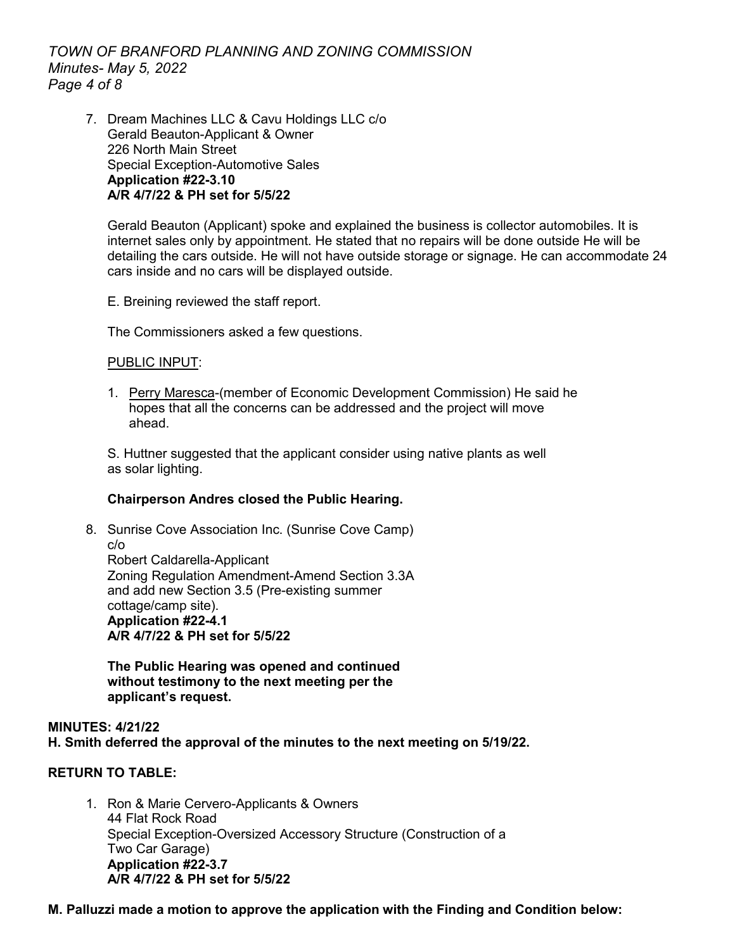*TOWN OF BRANFORD PLANNING AND ZONING COMMISSION Minutes- May 5, 2022 Page 4 of 8*

7. Dream Machines LLC & Cavu Holdings LLC c/o Gerald Beauton-Applicant & Owner 226 North Main Street Special Exception-Automotive Sales **Application #22-3.10 A/R 4/7/22 & PH set for 5/5/22**

Gerald Beauton (Applicant) spoke and explained the business is collector automobiles. It is internet sales only by appointment. He stated that no repairs will be done outside He will be detailing the cars outside. He will not have outside storage or signage. He can accommodate 24 cars inside and no cars will be displayed outside.

E. Breining reviewed the staff report.

The Commissioners asked a few questions.

#### PUBLIC INPUT:

1. Perry Maresca-(member of Economic Development Commission) He said he hopes that all the concerns can be addressed and the project will move ahead.

S. Huttner suggested that the applicant consider using native plants as well as solar lighting.

### **Chairperson Andres closed the Public Hearing.**

8. Sunrise Cove Association Inc. (Sunrise Cove Camp) c/o Robert Caldarella-Applicant Zoning Regulation Amendment-Amend Section 3.3A and add new Section 3.5 (Pre-existing summer cottage/camp site). **Application #22-4.1 A/R 4/7/22 & PH set for 5/5/22**

**The Public Hearing was opened and continued without testimony to the next meeting per the applicant's request.**

## **MINUTES: 4/21/22 H. Smith deferred the approval of the minutes to the next meeting on 5/19/22.**

### **RETURN TO TABLE:**

1. Ron & Marie Cervero-Applicants & Owners 44 Flat Rock Road Special Exception-Oversized Accessory Structure (Construction of a Two Car Garage) **Application #22-3.7 A/R 4/7/22 & PH set for 5/5/22**

### **M. Palluzzi made a motion to approve the application with the Finding and Condition below:**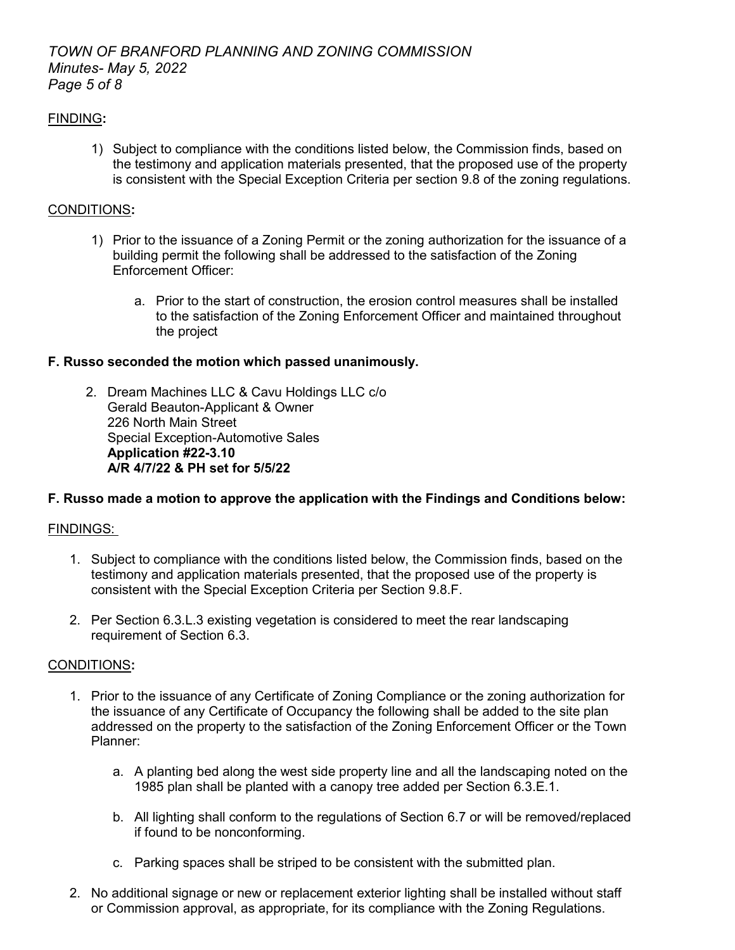# *TOWN OF BRANFORD PLANNING AND ZONING COMMISSION Minutes- May 5, 2022 Page 5 of 8*

# FINDING**:**

1) Subject to compliance with the conditions listed below, the Commission finds, based on the testimony and application materials presented, that the proposed use of the property is consistent with the Special Exception Criteria per section 9.8 of the zoning regulations.

## CONDITIONS**:**

- 1) Prior to the issuance of a Zoning Permit or the zoning authorization for the issuance of a building permit the following shall be addressed to the satisfaction of the Zoning Enforcement Officer:
	- a. Prior to the start of construction, the erosion control measures shall be installed to the satisfaction of the Zoning Enforcement Officer and maintained throughout the project

### **F. Russo seconded the motion which passed unanimously.**

2. Dream Machines LLC & Cavu Holdings LLC c/o Gerald Beauton-Applicant & Owner 226 North Main Street Special Exception-Automotive Sales **Application #22-3.10 A/R 4/7/22 & PH set for 5/5/22**

## **F. Russo made a motion to approve the application with the Findings and Conditions below:**

## FINDINGS:

- 1. Subject to compliance with the conditions listed below, the Commission finds, based on the testimony and application materials presented, that the proposed use of the property is consistent with the Special Exception Criteria per Section 9.8.F.
- 2. Per Section 6.3.L.3 existing vegetation is considered to meet the rear landscaping requirement of Section 6.3.

### CONDITIONS**:**

- 1. Prior to the issuance of any Certificate of Zoning Compliance or the zoning authorization for the issuance of any Certificate of Occupancy the following shall be added to the site plan addressed on the property to the satisfaction of the Zoning Enforcement Officer or the Town Planner:
	- a. A planting bed along the west side property line and all the landscaping noted on the 1985 plan shall be planted with a canopy tree added per Section 6.3.E.1.
	- b. All lighting shall conform to the regulations of Section 6.7 or will be removed/replaced if found to be nonconforming.
	- c. Parking spaces shall be striped to be consistent with the submitted plan.
- 2. No additional signage or new or replacement exterior lighting shall be installed without staff or Commission approval, as appropriate, for its compliance with the Zoning Regulations.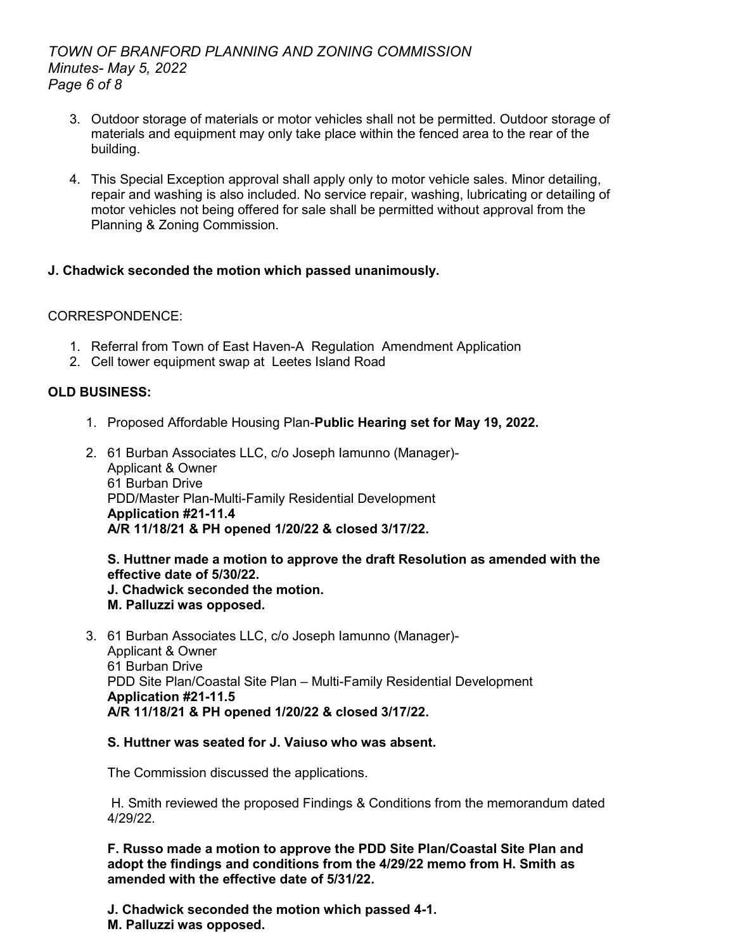# *TOWN OF BRANFORD PLANNING AND ZONING COMMISSION Minutes- May 5, 2022 Page 6 of 8*

- 3. Outdoor storage of materials or motor vehicles shall not be permitted. Outdoor storage of materials and equipment may only take place within the fenced area to the rear of the building.
- 4. This Special Exception approval shall apply only to motor vehicle sales. Minor detailing, repair and washing is also included. No service repair, washing, lubricating or detailing of motor vehicles not being offered for sale shall be permitted without approval from the Planning & Zoning Commission.

# **J. Chadwick seconded the motion which passed unanimously.**

## CORRESPONDENCE:

- 1. Referral from Town of East Haven-A Regulation Amendment Application
- 2. Cell tower equipment swap at Leetes Island Road

## **OLD BUSINESS:**

- 1. Proposed Affordable Housing Plan-**Public Hearing set for May 19, 2022.**
- 2. 61 Burban Associates LLC, c/o Joseph Iamunno (Manager)- Applicant & Owner 61 Burban Drive PDD/Master Plan-Multi-Family Residential Development **Application #21-11.4 A/R 11/18/21 & PH opened 1/20/22 & closed 3/17/22.**

**S. Huttner made a motion to approve the draft Resolution as amended with the effective date of 5/30/22. J. Chadwick seconded the motion.** 

- **M. Palluzzi was opposed.**
- 3. 61 Burban Associates LLC, c/o Joseph Iamunno (Manager)- Applicant & Owner 61 Burban Drive PDD Site Plan/Coastal Site Plan – Multi-Family Residential Development **Application #21-11.5 A/R 11/18/21 & PH opened 1/20/22 & closed 3/17/22.**

### **S. Huttner was seated for J. Vaiuso who was absent.**

The Commission discussed the applications.

H. Smith reviewed the proposed Findings & Conditions from the memorandum dated 4/29/22.

**F. Russo made a motion to approve the PDD Site Plan/Coastal Site Plan and adopt the findings and conditions from the 4/29/22 memo from H. Smith as amended with the effective date of 5/31/22.**

**J. Chadwick seconded the motion which passed 4-1.**

**M. Palluzzi was opposed.**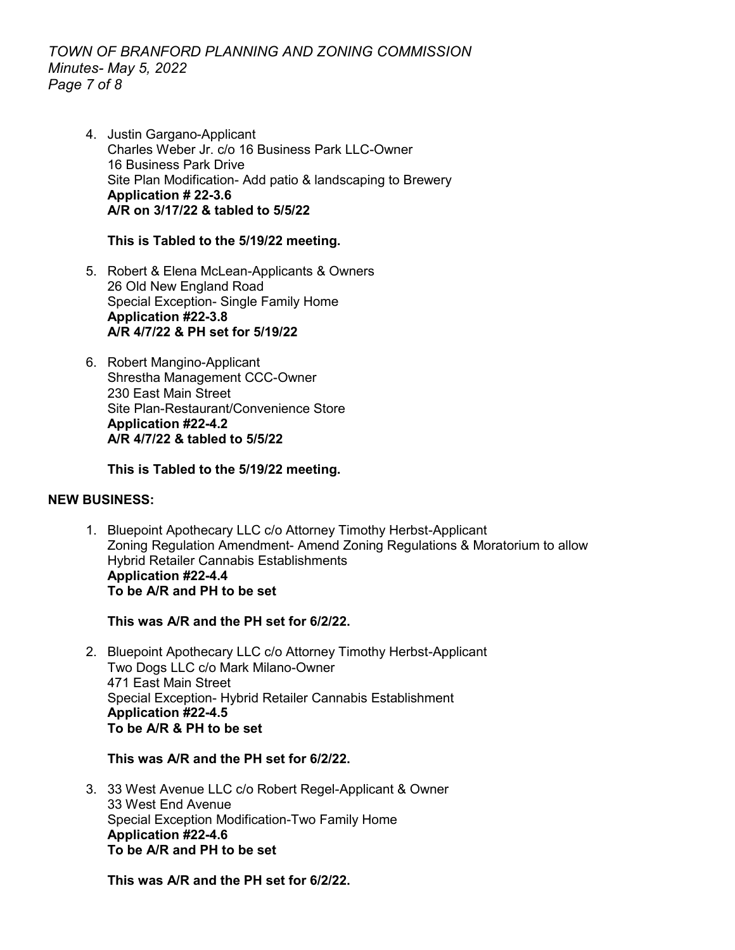# *TOWN OF BRANFORD PLANNING AND ZONING COMMISSION Minutes- May 5, 2022 Page 7 of 8*

4. Justin Gargano-Applicant Charles Weber Jr. c/o 16 Business Park LLC-Owner 16 Business Park Drive Site Plan Modification- Add patio & landscaping to Brewery **Application # 22-3.6 A/R on 3/17/22 & tabled to 5/5/22**

## **This is Tabled to the 5/19/22 meeting.**

- 5. Robert & Elena McLean-Applicants & Owners 26 Old New England Road Special Exception- Single Family Home **Application #22-3.8 A/R 4/7/22 & PH set for 5/19/22**
- 6. Robert Mangino-Applicant Shrestha Management CCC-Owner 230 East Main Street Site Plan-Restaurant/Convenience Store **Application #22-4.2 A/R 4/7/22 & tabled to 5/5/22**

**This is Tabled to the 5/19/22 meeting.**

### **NEW BUSINESS:**

1. Bluepoint Apothecary LLC c/o Attorney Timothy Herbst-Applicant Zoning Regulation Amendment- Amend Zoning Regulations & Moratorium to allow Hybrid Retailer Cannabis Establishments **Application #22-4.4 To be A/R and PH to be set**

**This was A/R and the PH set for 6/2/22.**

2. Bluepoint Apothecary LLC c/o Attorney Timothy Herbst-Applicant Two Dogs LLC c/o Mark Milano-Owner 471 East Main Street Special Exception- Hybrid Retailer Cannabis Establishment **Application #22-4.5 To be A/R & PH to be set**

# **This was A/R and the PH set for 6/2/22.**

3. 33 West Avenue LLC c/o Robert Regel-Applicant & Owner 33 West End Avenue Special Exception Modification-Two Family Home **Application #22-4.6 To be A/R and PH to be set** 

**This was A/R and the PH set for 6/2/22.**